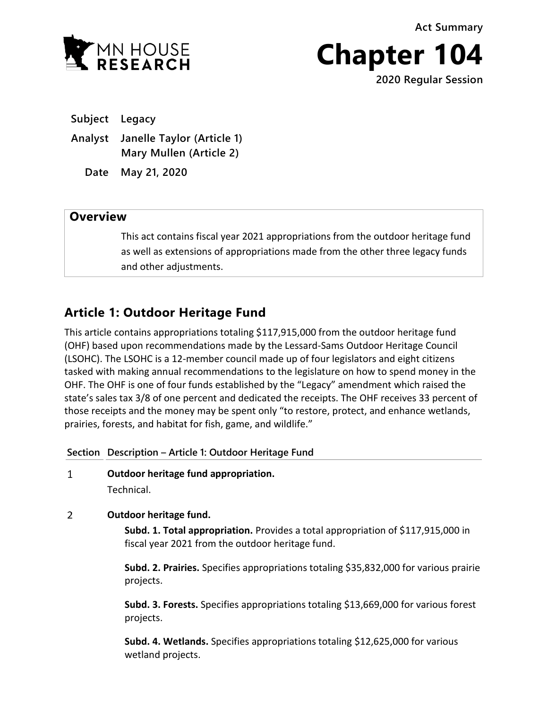**Act Summary**



**Chapter 104**

**2020 Regular Session**

**Subject Legacy**

**Analyst Janelle Taylor (Article 1) Mary Mullen (Article 2)**

**Date May 21, 2020**

# **Overview**

This act contains fiscal year 2021 appropriations from the outdoor heritage fund as well as extensions of appropriations made from the other three legacy funds and other adjustments.

# **Article 1: Outdoor Heritage Fund**

This article contains appropriations totaling \$117,915,000 from the outdoor heritage fund (OHF) based upon recommendations made by the Lessard-Sams Outdoor Heritage Council (LSOHC). The LSOHC is a 12-member council made up of four legislators and eight citizens tasked with making annual recommendations to the legislature on how to spend money in the OHF. The OHF is one of four funds established by the "Legacy" amendment which raised the state's sales tax 3/8 of one percent and dedicated the receipts. The OHF receives 33 percent of those receipts and the money may be spent only "to restore, protect, and enhance wetlands, prairies, forests, and habitat for fish, game, and wildlife."

## **Section Description – Article 1: Outdoor Heritage Fund**

 $\mathbf{1}$ **Outdoor heritage fund appropriation.** Technical.

 $\overline{2}$ **Outdoor heritage fund.**

> **Subd. 1. Total appropriation.** Provides a total appropriation of \$117,915,000 in fiscal year 2021 from the outdoor heritage fund.

**Subd. 2. Prairies.** Specifies appropriations totaling \$35,832,000 for various prairie projects.

**Subd. 3. Forests.** Specifies appropriations totaling \$13,669,000 for various forest projects.

**Subd. 4. Wetlands.** Specifies appropriations totaling \$12,625,000 for various wetland projects.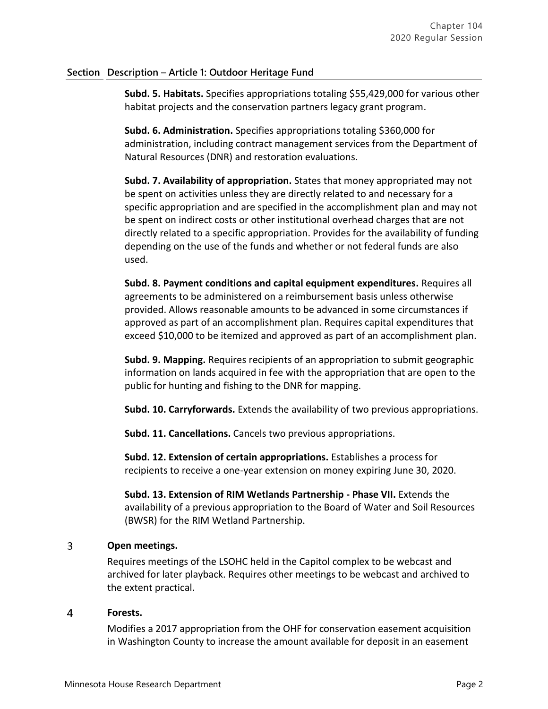## **Section Description – Article 1: Outdoor Heritage Fund**

**Subd. 5. Habitats.** Specifies appropriations totaling \$55,429,000 for various other habitat projects and the conservation partners legacy grant program.

**Subd. 6. Administration.** Specifies appropriations totaling \$360,000 for administration, including contract management services from the Department of Natural Resources (DNR) and restoration evaluations.

**Subd. 7. Availability of appropriation.** States that money appropriated may not be spent on activities unless they are directly related to and necessary for a specific appropriation and are specified in the accomplishment plan and may not be spent on indirect costs or other institutional overhead charges that are not directly related to a specific appropriation. Provides for the availability of funding depending on the use of the funds and whether or not federal funds are also used.

**Subd. 8. Payment conditions and capital equipment expenditures.** Requires all agreements to be administered on a reimbursement basis unless otherwise provided. Allows reasonable amounts to be advanced in some circumstances if approved as part of an accomplishment plan. Requires capital expenditures that exceed \$10,000 to be itemized and approved as part of an accomplishment plan.

**Subd. 9. Mapping.** Requires recipients of an appropriation to submit geographic information on lands acquired in fee with the appropriation that are open to the public for hunting and fishing to the DNR for mapping.

**Subd. 10. Carryforwards.** Extends the availability of two previous appropriations.

**Subd. 11. Cancellations.** Cancels two previous appropriations.

**Subd. 12. Extension of certain appropriations.** Establishes a process for recipients to receive a one-year extension on money expiring June 30, 2020.

**Subd. 13. Extension of RIM Wetlands Partnership - Phase VII.** Extends the availability of a previous appropriation to the Board of Water and Soil Resources (BWSR) for the RIM Wetland Partnership.

### $\overline{3}$ **Open meetings.**

Requires meetings of the LSOHC held in the Capitol complex to be webcast and archived for later playback. Requires other meetings to be webcast and archived to the extent practical.

### $\overline{a}$ **Forests.**

Modifies a 2017 appropriation from the OHF for conservation easement acquisition in Washington County to increase the amount available for deposit in an easement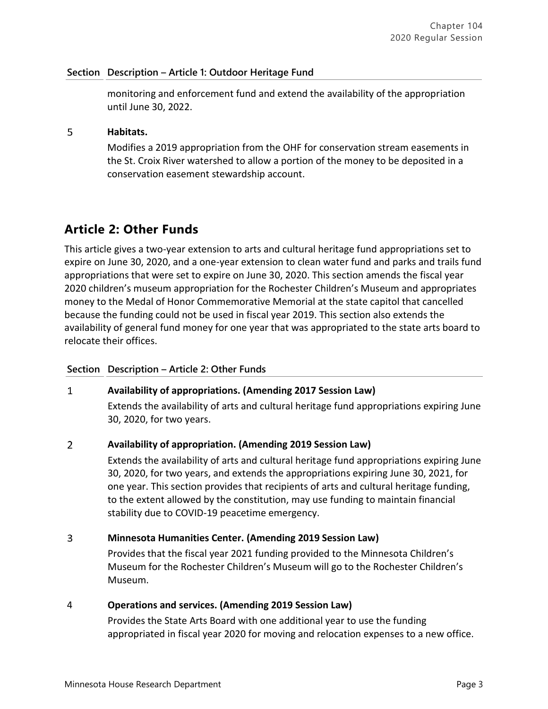## **Section Description – Article 1: Outdoor Heritage Fund**

monitoring and enforcement fund and extend the availability of the appropriation until June 30, 2022.

### 5 **Habitats.**

Modifies a 2019 appropriation from the OHF for conservation stream easements in the St. Croix River watershed to allow a portion of the money to be deposited in a conservation easement stewardship account.

# **Article 2: Other Funds**

This article gives a two-year extension to arts and cultural heritage fund appropriations set to expire on June 30, 2020, and a one-year extension to clean water fund and parks and trails fund appropriations that were set to expire on June 30, 2020. This section amends the fiscal year 2020 children's museum appropriation for the Rochester Children's Museum and appropriates money to the Medal of Honor Commemorative Memorial at the state capitol that cancelled because the funding could not be used in fiscal year 2019. This section also extends the availability of general fund money for one year that was appropriated to the state arts board to relocate their offices.

## **Section Description – Article 2: Other Funds**

### **Availability of appropriations. (Amending 2017 Session Law)**   $\mathbf{1}$

Extends the availability of arts and cultural heritage fund appropriations expiring June 30, 2020, for two years.

### $\overline{2}$ **Availability of appropriation. (Amending 2019 Session Law)**

Extends the availability of arts and cultural heritage fund appropriations expiring June 30, 2020, for two years, and extends the appropriations expiring June 30, 2021, for one year. This section provides that recipients of arts and cultural heritage funding, to the extent allowed by the constitution, may use funding to maintain financial stability due to COVID-19 peacetime emergency.

### $\overline{3}$ **Minnesota Humanities Center. (Amending 2019 Session Law)**

Provides that the fiscal year 2021 funding provided to the Minnesota Children's Museum for the Rochester Children's Museum will go to the Rochester Children's Museum.

## 4 **Operations and services. (Amending 2019 Session Law)**

Provides the State Arts Board with one additional year to use the funding appropriated in fiscal year 2020 for moving and relocation expenses to a new office.